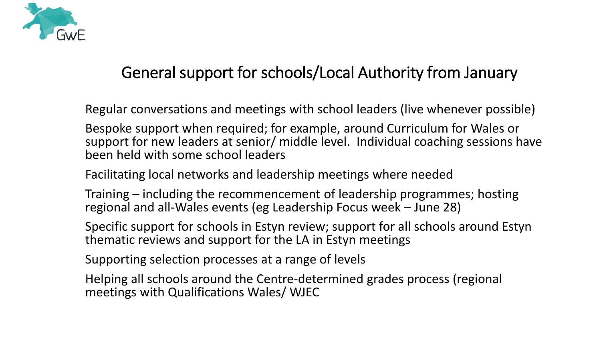

## General support for schools/Local Authority from January

Regular conversations and meetings with school leaders (live whenever possible)

Bespoke support when required; for example, around Curriculum for Wales or support for new leaders at senior/ middle level. Individual coaching sessions have been held with some school leaders

Facilitating local networks and leadership meetings where needed

Training – including the recommencement of leadership programmes; hosting regional and all-Wales events (eg Leadership Focus week – June 28)

Specific support for schools in Estyn review; support for all schools around Estyn thematic reviews and support for the LA in Estyn meetings

Supporting selection processes at a range of levels

Helping all schools around the Centre-determined grades process (regional meetings with Qualifications Wales/ WJEC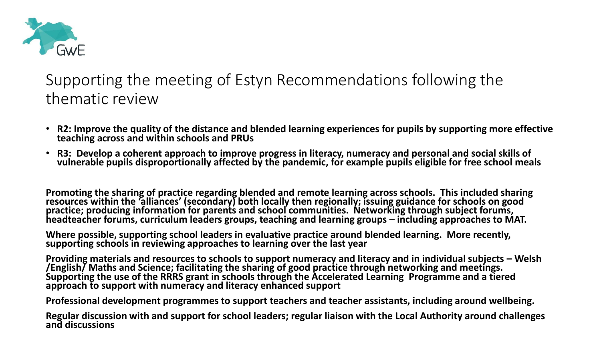

## Supporting the meeting of Estyn Recommendations following the thematic review

- **R2: Improve the quality of the distance and blended learning experiences for pupils by supporting more effective teaching across and within schools and PRUs**
- **R3: Develop a coherent approach to improve progress in literacy, numeracy and personal and social skills of vulnerable pupils disproportionally affected by the pandemic, for example pupils eligible for free school meals**

**Promoting the sharing of practice regarding blended and remote learning across schools. This included sharing resources within the 'alliances' (secondary) both locally then regionally; issuing guidance for schools on good practice; producing information for parents and school communities. Networking through subject forums, headteacher forums, curriculum leaders groups, teaching and learning groups – including approaches to MAT.**

**Where possible, supporting school leaders in evaluative practice around blended learning. More recently, supporting schools in reviewing approaches to learning over the last year**

**Providing materials and resources to schools to support numeracy and literacy and in individual subjects – Welsh /English/ Maths and Science; facilitating the sharing of good practice through networking and meetings. Supporting the use of the RRRS grant in schools through the Accelerated Learning Programme and a tiered approach to support with numeracy and literacy enhanced support**

**Professional development programmes to support teachers and teacher assistants, including around wellbeing.** 

**Regular discussion with and support for school leaders; regular liaison with the Local Authority around challenges and discussions**